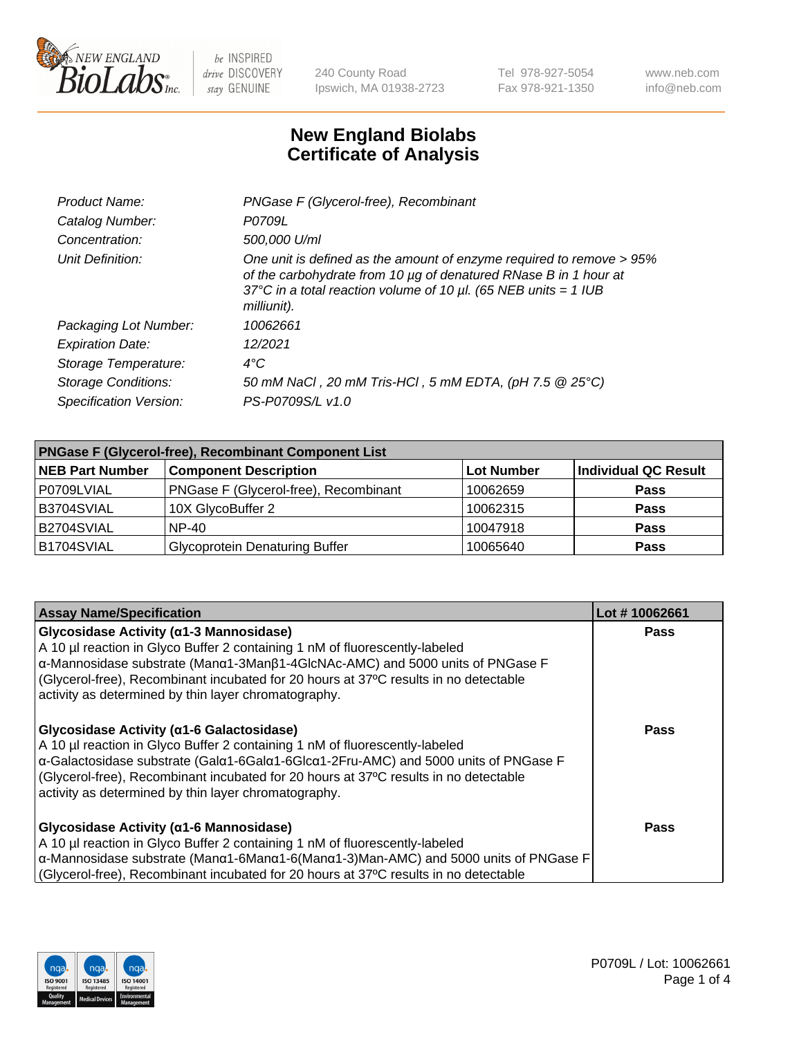

240 County Road Ipswich, MA 01938-2723 Tel 978-927-5054 Fax 978-921-1350

www.neb.com info@neb.com

## **New England Biolabs Certificate of Analysis**

| Product Name:              | PNGase F (Glycerol-free), Recombinant                                                                                                                                                                                           |
|----------------------------|---------------------------------------------------------------------------------------------------------------------------------------------------------------------------------------------------------------------------------|
| Catalog Number:            | P0709L                                                                                                                                                                                                                          |
| Concentration:             | 500,000 U/ml                                                                                                                                                                                                                    |
| Unit Definition:           | One unit is defined as the amount of enzyme required to remove > 95%<br>of the carbohydrate from 10 µg of denatured RNase B in 1 hour at<br>37°C in a total reaction volume of 10 $\mu$ l. (65 NEB units = 1 IUB<br>milliunit). |
| Packaging Lot Number:      | 10062661                                                                                                                                                                                                                        |
| <b>Expiration Date:</b>    | 12/2021                                                                                                                                                                                                                         |
| Storage Temperature:       | $4^{\circ}$ C                                                                                                                                                                                                                   |
| <b>Storage Conditions:</b> | 50 mM NaCl, 20 mM Tris-HCl, 5 mM EDTA, (pH 7.5 @ 25°C)                                                                                                                                                                          |
| Specification Version:     | PS-P0709S/L v1.0                                                                                                                                                                                                                |

| <b>PNGase F (Glycerol-free), Recombinant Component List</b> |                                       |                   |                      |  |  |
|-------------------------------------------------------------|---------------------------------------|-------------------|----------------------|--|--|
| <b>NEB Part Number</b>                                      | <b>Component Description</b>          | <b>Lot Number</b> | Individual QC Result |  |  |
| P0709LVIAL                                                  | PNGase F (Glycerol-free), Recombinant | 10062659          | <b>Pass</b>          |  |  |
| B3704SVIAL                                                  | 10X GlycoBuffer 2                     | 10062315          | <b>Pass</b>          |  |  |
| B2704SVIAL                                                  | $NP-40$                               | 10047918          | <b>Pass</b>          |  |  |
| B1704SVIAL                                                  | <b>Glycoprotein Denaturing Buffer</b> | 10065640          | <b>Pass</b>          |  |  |

| <b>Assay Name/Specification</b>                                                                                                                                                                                                                                                                                                                                 | Lot #10062661 |
|-----------------------------------------------------------------------------------------------------------------------------------------------------------------------------------------------------------------------------------------------------------------------------------------------------------------------------------------------------------------|---------------|
| Glycosidase Activity (α1-3 Mannosidase)<br>A 10 µl reaction in Glyco Buffer 2 containing 1 nM of fluorescently-labeled<br>α-Mannosidase substrate (Manα1-3Manβ1-4GlcNAc-AMC) and 5000 units of PNGase F<br>(Glycerol-free), Recombinant incubated for 20 hours at 37°C results in no detectable<br>activity as determined by thin layer chromatography.         | Pass          |
| Glycosidase Activity (α1-6 Galactosidase)<br>A 10 µl reaction in Glyco Buffer 2 containing 1 nM of fluorescently-labeled<br>α-Galactosidase substrate (Galα1-6Galα1-6Glcα1-2Fru-AMC) and 5000 units of PNGase F<br>(Glycerol-free), Recombinant incubated for 20 hours at 37°C results in no detectable<br>activity as determined by thin layer chromatography. | Pass          |
| Glycosidase Activity (α1-6 Mannosidase)<br>A 10 µl reaction in Glyco Buffer 2 containing 1 nM of fluorescently-labeled<br>α-Mannosidase substrate (Μanα1-6Μanα1-6(Μanα1-3)Man-AMC) and 5000 units of PNGase F<br>(Glycerol-free), Recombinant incubated for 20 hours at 37°C results in no detectable                                                           | Pass          |

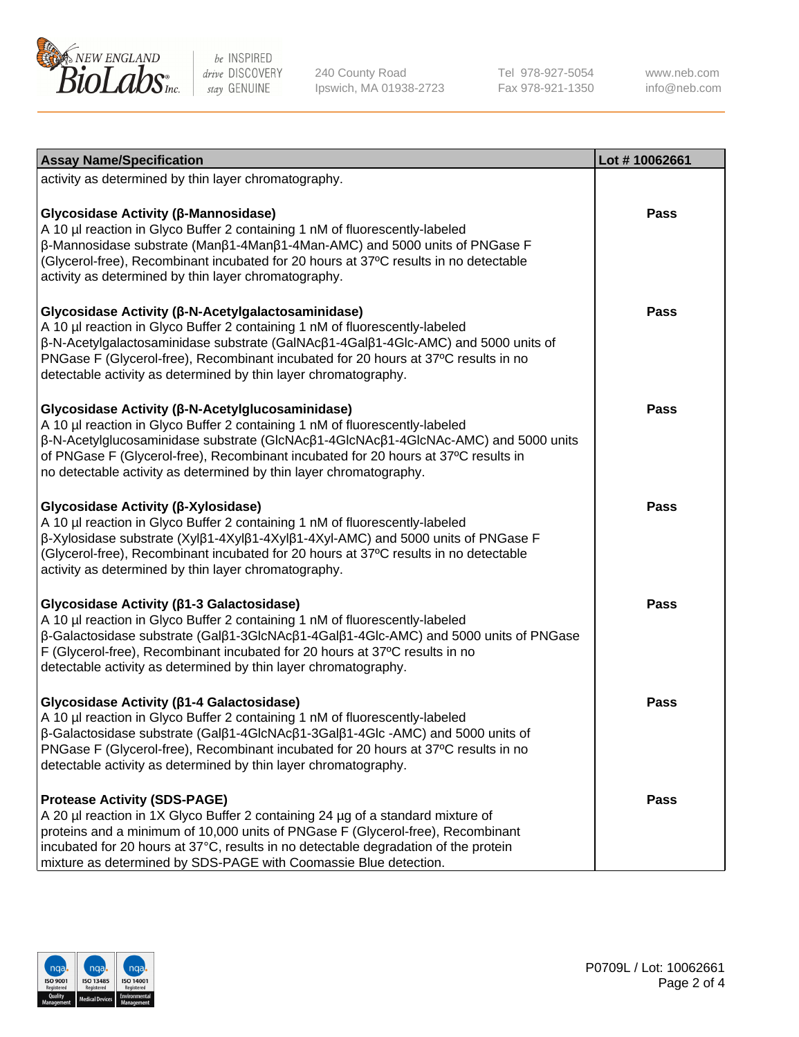

240 County Road Ipswich, MA 01938-2723 Tel 978-927-5054 Fax 978-921-1350 www.neb.com info@neb.com

| <b>Assay Name/Specification</b>                                                                                                                                                                                                                                                                                                                                                    | Lot #10062661 |
|------------------------------------------------------------------------------------------------------------------------------------------------------------------------------------------------------------------------------------------------------------------------------------------------------------------------------------------------------------------------------------|---------------|
| activity as determined by thin layer chromatography.                                                                                                                                                                                                                                                                                                                               |               |
| Glycosidase Activity (β-Mannosidase)<br>A 10 µl reaction in Glyco Buffer 2 containing 1 nM of fluorescently-labeled<br>β-Mannosidase substrate (Manβ1-4Manβ1-4Man-AMC) and 5000 units of PNGase F<br>(Glycerol-free), Recombinant incubated for 20 hours at 37°C results in no detectable<br>activity as determined by thin layer chromatography.                                  | <b>Pass</b>   |
| Glycosidase Activity (β-N-Acetylgalactosaminidase)<br>A 10 µl reaction in Glyco Buffer 2 containing 1 nM of fluorescently-labeled<br>β-N-Acetylgalactosaminidase substrate (GalNAcβ1-4Galβ1-4Glc-AMC) and 5000 units of<br>PNGase F (Glycerol-free), Recombinant incubated for 20 hours at 37°C results in no<br>detectable activity as determined by thin layer chromatography.   | <b>Pass</b>   |
| Glycosidase Activity (β-N-Acetylglucosaminidase)<br>A 10 µl reaction in Glyco Buffer 2 containing 1 nM of fluorescently-labeled<br>β-N-Acetylglucosaminidase substrate (GIcNAcβ1-4GIcNAcβ1-4GIcNAc-AMC) and 5000 units<br>of PNGase F (Glycerol-free), Recombinant incubated for 20 hours at 37°C results in<br>no detectable activity as determined by thin layer chromatography. | Pass          |
| Glycosidase Activity (β-Xylosidase)<br>A 10 µl reaction in Glyco Buffer 2 containing 1 nM of fluorescently-labeled<br>β-Xylosidase substrate (Xylβ1-4Xylβ1-4Xylβ1-4Xyl-AMC) and 5000 units of PNGase F<br>(Glycerol-free), Recombinant incubated for 20 hours at 37°C results in no detectable<br>activity as determined by thin layer chromatography.                             | Pass          |
| Glycosidase Activity (β1-3 Galactosidase)<br>A 10 µl reaction in Glyco Buffer 2 containing 1 nM of fluorescently-labeled<br>β-Galactosidase substrate (Galβ1-3GlcNAcβ1-4Galβ1-4Glc-AMC) and 5000 units of PNGase<br>F (Glycerol-free), Recombinant incubated for 20 hours at 37°C results in no<br>detectable activity as determined by thin layer chromatography.                 | <b>Pass</b>   |
| Glycosidase Activity (β1-4 Galactosidase)<br>A 10 µl reaction in Glyco Buffer 2 containing 1 nM of fluorescently-labeled<br>β-Galactosidase substrate (Galβ1-4GlcNAcβ1-3Galβ1-4Glc -AMC) and 5000 units of<br>PNGase F (Glycerol-free), Recombinant incubated for 20 hours at 37°C results in no<br>detectable activity as determined by thin layer chromatography.                | Pass          |
| <b>Protease Activity (SDS-PAGE)</b><br>A 20 µl reaction in 1X Glyco Buffer 2 containing 24 µg of a standard mixture of<br>proteins and a minimum of 10,000 units of PNGase F (Glycerol-free), Recombinant<br>incubated for 20 hours at 37°C, results in no detectable degradation of the protein<br>mixture as determined by SDS-PAGE with Coomassie Blue detection.               | Pass          |

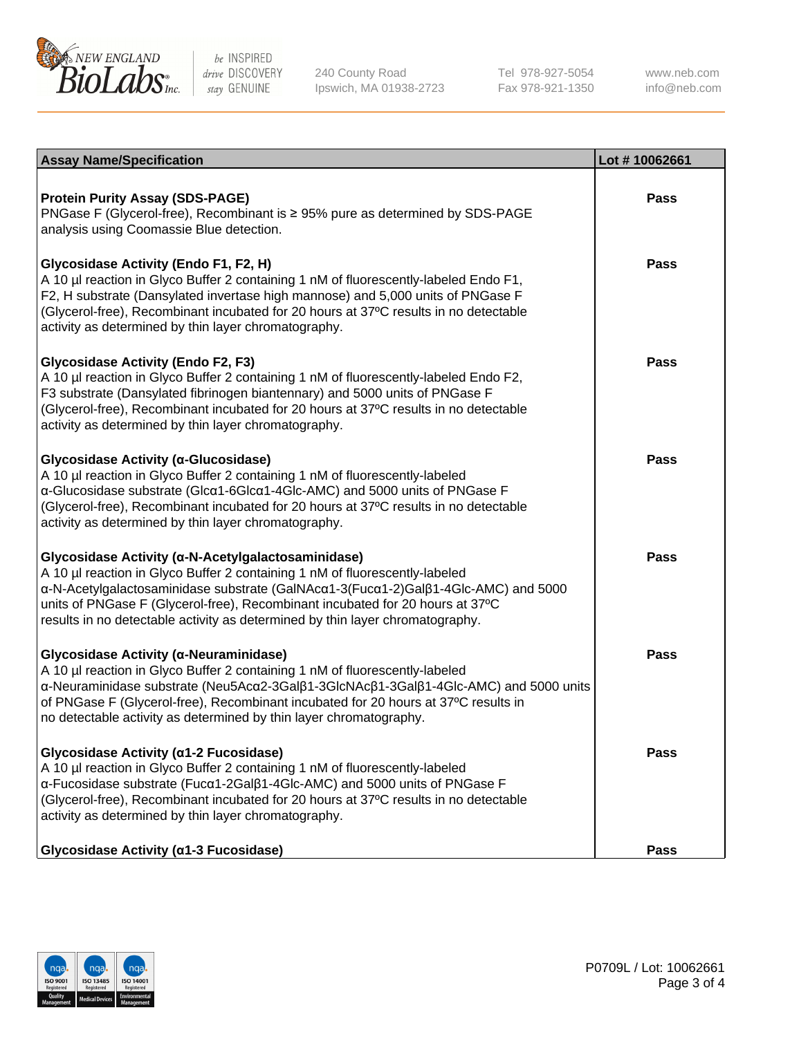

240 County Road Ipswich, MA 01938-2723 Tel 978-927-5054 Fax 978-921-1350 www.neb.com info@neb.com

| <b>Assay Name/Specification</b>                                                                                                                                                                                                                                                                                                                                                           | Lot #10062661 |
|-------------------------------------------------------------------------------------------------------------------------------------------------------------------------------------------------------------------------------------------------------------------------------------------------------------------------------------------------------------------------------------------|---------------|
| <b>Protein Purity Assay (SDS-PAGE)</b><br>PNGase F (Glycerol-free), Recombinant is ≥ 95% pure as determined by SDS-PAGE<br>analysis using Coomassie Blue detection.                                                                                                                                                                                                                       | <b>Pass</b>   |
| Glycosidase Activity (Endo F1, F2, H)<br>A 10 µl reaction in Glyco Buffer 2 containing 1 nM of fluorescently-labeled Endo F1,<br>F2, H substrate (Dansylated invertase high mannose) and 5,000 units of PNGase F<br>(Glycerol-free), Recombinant incubated for 20 hours at 37°C results in no detectable<br>activity as determined by thin layer chromatography.                          | <b>Pass</b>   |
| <b>Glycosidase Activity (Endo F2, F3)</b><br>A 10 µl reaction in Glyco Buffer 2 containing 1 nM of fluorescently-labeled Endo F2,<br>F3 substrate (Dansylated fibrinogen biantennary) and 5000 units of PNGase F<br>(Glycerol-free), Recombinant incubated for 20 hours at 37°C results in no detectable<br>activity as determined by thin layer chromatography.                          | <b>Pass</b>   |
| Glycosidase Activity (α-Glucosidase)<br>A 10 µl reaction in Glyco Buffer 2 containing 1 nM of fluorescently-labeled<br>α-Glucosidase substrate (Glcα1-6Glcα1-4Glc-AMC) and 5000 units of PNGase F<br>(Glycerol-free), Recombinant incubated for 20 hours at 37°C results in no detectable<br>activity as determined by thin layer chromatography.                                         | <b>Pass</b>   |
| Glycosidase Activity (α-N-Acetylgalactosaminidase)<br>A 10 µl reaction in Glyco Buffer 2 containing 1 nM of fluorescently-labeled<br>α-N-Acetylgalactosaminidase substrate (GalNAcα1-3(Fucα1-2)Galβ1-4Glc-AMC) and 5000<br>units of PNGase F (Glycerol-free), Recombinant incubated for 20 hours at 37°C<br>results in no detectable activity as determined by thin layer chromatography. | <b>Pass</b>   |
| Glycosidase Activity (α-Neuraminidase)<br>A 10 µl reaction in Glyco Buffer 2 containing 1 nM of fluorescently-labeled<br>α-Neuraminidase substrate (Neu5Acα2-3Galβ1-3GlcNAcβ1-3Galβ1-4Glc-AMC) and 5000 units<br>of PNGase F (Glycerol-free), Recombinant incubated for 20 hours at 37°C results in<br>no detectable activity as determined by thin layer chromatography.                 | Pass          |
| Glycosidase Activity (α1-2 Fucosidase)<br>A 10 µl reaction in Glyco Buffer 2 containing 1 nM of fluorescently-labeled<br>α-Fucosidase substrate (Fucα1-2Galβ1-4Glc-AMC) and 5000 units of PNGase F<br>(Glycerol-free), Recombinant incubated for 20 hours at 37°C results in no detectable<br>activity as determined by thin layer chromatography.                                        | <b>Pass</b>   |
| Glycosidase Activity (a1-3 Fucosidase)                                                                                                                                                                                                                                                                                                                                                    | <b>Pass</b>   |